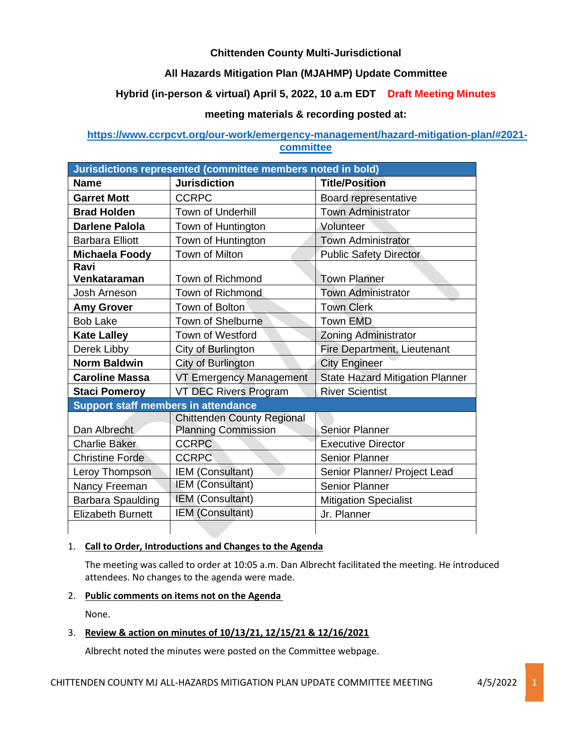# **Chittenden County Multi-Jurisdictional**

# **All Hazards Mitigation Plan (MJAHMP) Update Committee**

# **Hybrid (in-person & virtual) April 5, 2022, 10 a.m EDT Draft Meeting Minutes**

## **meeting materials & recording posted at:**

## **[https://www.ccrpcvt.org/our-work/emergency-management/hazard-mitigation-plan/#2021](https://www.ccrpcvt.org/our-work/emergency-management/hazard-mitigation-plan/#2021-committee) [committee](https://www.ccrpcvt.org/our-work/emergency-management/hazard-mitigation-plan/#2021-committee)**

| Jurisdictions represented (committee members noted in bold) |                                                                 |                                        |
|-------------------------------------------------------------|-----------------------------------------------------------------|----------------------------------------|
| <b>Name</b>                                                 | <b>Jurisdiction</b>                                             | <b>Title/Position</b>                  |
| <b>Garret Mott</b>                                          | <b>CCRPC</b>                                                    | Board representative                   |
| <b>Brad Holden</b>                                          | <b>Town of Underhill</b>                                        | <b>Town Administrator</b>              |
| <b>Darlene Palola</b>                                       | Town of Huntington                                              | Volunteer                              |
| <b>Barbara Elliott</b>                                      | Town of Huntington                                              | <b>Town Administrator</b>              |
| <b>Michaela Foody</b>                                       | Town of Milton                                                  | <b>Public Safety Director</b>          |
| Ravi<br>Venkataraman                                        | Town of Richmond                                                | <b>Town Planner</b>                    |
| Josh Arneson                                                | Town of Richmond                                                | <b>Town Administrator</b>              |
| <b>Amy Grover</b>                                           | Town of Bolton                                                  | <b>Town Clerk</b>                      |
| <b>Bob Lake</b>                                             | <b>Town of Shelburne</b>                                        | <b>Town EMD</b>                        |
| <b>Kate Lalley</b>                                          | <b>Town of Westford</b>                                         | <b>Zoning Administrator</b>            |
| Derek Libby                                                 | City of Burlington                                              | Fire Department, Lieutenant            |
| <b>Norm Baldwin</b>                                         | City of Burlington                                              | <b>City Engineer</b>                   |
| <b>Caroline Massa</b>                                       | VT Emergency Management                                         | <b>State Hazard Mitigation Planner</b> |
| <b>Staci Pomeroy</b>                                        | VT DEC Rivers Program                                           | <b>River Scientist</b>                 |
| <b>Support staff members in attendance</b>                  |                                                                 |                                        |
| Dan Albrecht                                                | <b>Chittenden County Regional</b><br><b>Planning Commission</b> | <b>Senior Planner</b>                  |
| <b>Charlie Baker</b>                                        | <b>CCRPC</b>                                                    | <b>Executive Director</b>              |
| <b>Christine Forde</b>                                      | <b>CCRPC</b>                                                    | <b>Senior Planner</b>                  |
| Leroy Thompson                                              | IEM (Consultant)                                                | Senior Planner/ Project Lead           |
| Nancy Freeman                                               | <b>IEM (Consultant)</b>                                         | <b>Senior Planner</b>                  |
| Barbara Spaulding                                           | IEM (Consultant)                                                | <b>Mitigation Specialist</b>           |
| <b>Elizabeth Burnett</b>                                    | IEM (Consultant)                                                | Jr. Planner                            |
|                                                             |                                                                 |                                        |

### 1. **Call to Order, Introductions and Changes to the Agenda**

The meeting was called to order at 10:05 a.m. Dan Albrecht facilitated the meeting. He introduced attendees. No changes to the agenda were made.

## 2. **Public comments on items not on the Agenda**

None.

## 3. **Review & action on minutes of 10/13/21, 12/15/21 & 12/16/2021**

Albrecht noted the minutes were posted on the Committee webpage.